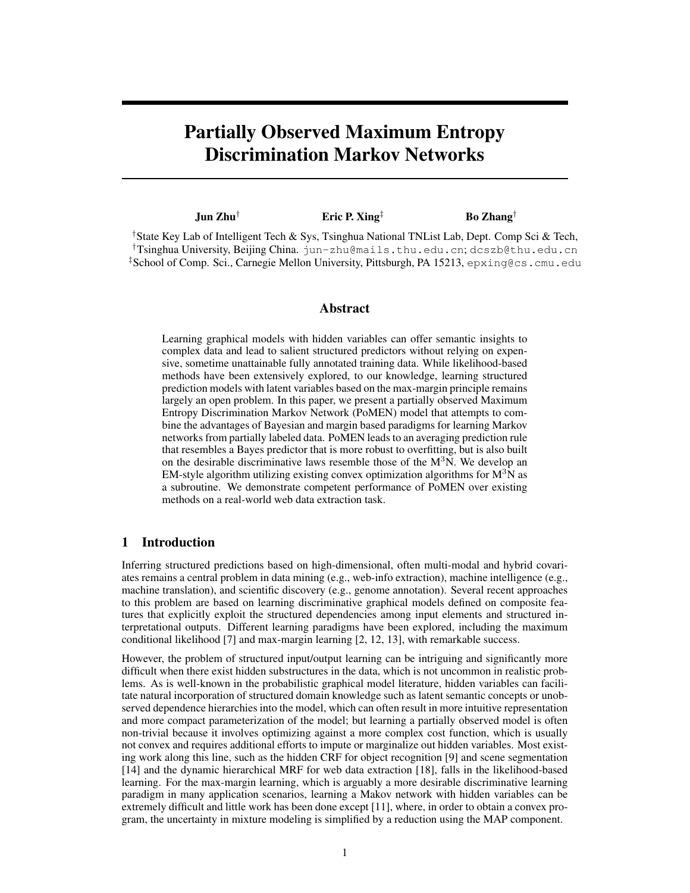# Partially Observed Maximum Entropy Discrimination Markov Networks

| $\mathbf{Jun} \mathbf{Zhu}^{\dagger}$                                                                      | Eric P. Xing <sup><math>\ddagger</math></sup> | <b>Bo</b> Zhang <sup>†</sup> |
|------------------------------------------------------------------------------------------------------------|-----------------------------------------------|------------------------------|
| <sup>†</sup> State Key Lab of Intelligent Tech & Sys, Tsinghua National TNList Lab, Dept. Comp Sci & Tech, |                                               |                              |
| <sup>†</sup> Tsinghua University, Beijing China. jun-zhu@mails.thu.edu.cn; dcszb@thu.edu.cn                |                                               |                              |

‡School of Comp. Sci., Carnegie Mellon University, Pittsburgh, PA 15213, epxing@cs.cmu.edu

## Abstract

Learning graphical models with hidden variables can offer semantic insights to complex data and lead to salient structured predictors without relying on expensive, sometime unattainable fully annotated training data. While likelihood-based methods have been extensively explored, to our knowledge, learning structured prediction models with latent variables based on the max-margin principle remains largely an open problem. In this paper, we present a partially observed Maximum Entropy Discrimination Markov Network (PoMEN) model that attempts to combine the advantages of Bayesian and margin based paradigms for learning Markov networks from partially labeled data. PoMEN leads to an averaging prediction rule that resembles a Bayes predictor that is more robust to overfitting, but is also built on the desirable discriminative laws resemble those of the  $M<sup>3</sup>N$ . We develop an EM-style algorithm utilizing existing convex optimization algorithms for  $M<sup>3</sup>N$  as a subroutine. We demonstrate competent performance of PoMEN over existing methods on a real-world web data extraction task.

# 1 Introduction

Inferring structured predictions based on high-dimensional, often multi-modal and hybrid covariates remains a central problem in data mining (e.g., web-info extraction), machine intelligence (e.g., machine translation), and scientific discovery (e.g., genome annotation). Several recent approaches to this problem are based on learning discriminative graphical models defined on composite features that explicitly exploit the structured dependencies among input elements and structured interpretational outputs. Different learning paradigms have been explored, including the maximum conditional likelihood [7] and max-margin learning [2, 12, 13], with remarkable success.

However, the problem of structured input/output learning can be intriguing and significantly more difficult when there exist hidden substructures in the data, which is not uncommon in realistic problems. As is well-known in the probabilistic graphical model literature, hidden variables can facilitate natural incorporation of structured domain knowledge such as latent semantic concepts or unobserved dependence hierarchies into the model, which can often result in more intuitive representation and more compact parameterization of the model; but learning a partially observed model is often non-trivial because it involves optimizing against a more complex cost function, which is usually not convex and requires additional efforts to impute or marginalize out hidden variables. Most existing work along this line, such as the hidden CRF for object recognition [9] and scene segmentation [14] and the dynamic hierarchical MRF for web data extraction [18], falls in the likelihood-based learning. For the max-margin learning, which is arguably a more desirable discriminative learning paradigm in many application scenarios, learning a Makov network with hidden variables can be extremely difficult and little work has been done except [11], where, in order to obtain a convex program, the uncertainty in mixture modeling is simplified by a reduction using the MAP component.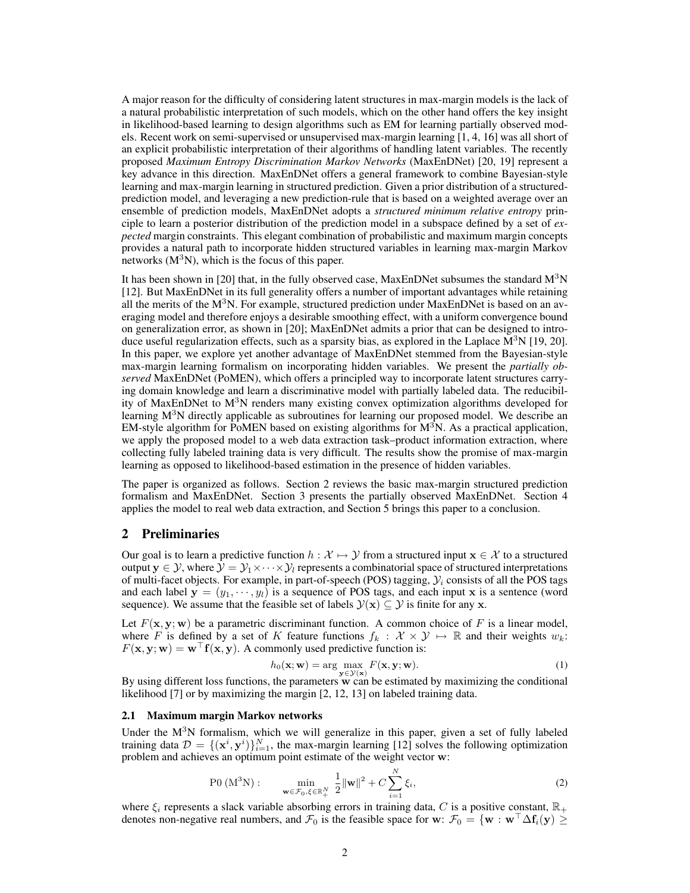A major reason for the difficulty of considering latent structures in max-margin models is the lack of a natural probabilistic interpretation of such models, which on the other hand offers the key insight in likelihood-based learning to design algorithms such as EM for learning partially observed models. Recent work on semi-supervised or unsupervised max-margin learning [1, 4, 16] was all short of an explicit probabilistic interpretation of their algorithms of handling latent variables. The recently proposed *Maximum Entropy Discrimination Markov Networks* (MaxEnDNet) [20, 19] represent a key advance in this direction. MaxEnDNet offers a general framework to combine Bayesian-style learning and max-margin learning in structured prediction. Given a prior distribution of a structuredprediction model, and leveraging a new prediction-rule that is based on a weighted average over an ensemble of prediction models, MaxEnDNet adopts a *structured minimum relative entropy* principle to learn a posterior distribution of the prediction model in a subspace defined by a set of *expected* margin constraints. This elegant combination of probabilistic and maximum margin concepts provides a natural path to incorporate hidden structured variables in learning max-margin Markov networks  $(M^3N)$ , which is the focus of this paper.

It has been shown in [20] that, in the fully observed case, MaxEnDNet subsumes the standard  $M<sup>3</sup>N$ [12]. But MaxEnDNet in its full generality offers a number of important advantages while retaining all the merits of the  $M<sup>3</sup>N$ . For example, structured prediction under MaxEnDNet is based on an averaging model and therefore enjoys a desirable smoothing effect, with a uniform convergence bound on generalization error, as shown in [20]; MaxEnDNet admits a prior that can be designed to introduce useful regularization effects, such as a sparsity bias, as explored in the Laplace  $M^3N$  [19, 20]. In this paper, we explore yet another advantage of MaxEnDNet stemmed from the Bayesian-style max-margin learning formalism on incorporating hidden variables. We present the *partially observed* MaxEnDNet (PoMEN), which offers a principled way to incorporate latent structures carrying domain knowledge and learn a discriminative model with partially labeled data. The reducibility of MaxEnDNet to  $M<sup>3</sup>N$  renders many existing convex optimization algorithms developed for learning  $M<sup>3</sup>N$  directly applicable as subroutines for learning our proposed model. We describe an EM-style algorithm for PoMEN based on existing algorithms for  $M<sup>3</sup>N$ . As a practical application, we apply the proposed model to a web data extraction task–product information extraction, where collecting fully labeled training data is very difficult. The results show the promise of max-margin learning as opposed to likelihood-based estimation in the presence of hidden variables.

The paper is organized as follows. Section 2 reviews the basic max-margin structured prediction formalism and MaxEnDNet. Section 3 presents the partially observed MaxEnDNet. Section 4 applies the model to real web data extraction, and Section 5 brings this paper to a conclusion.

## 2 Preliminaries

Our goal is to learn a predictive function  $h : \mathcal{X} \mapsto \mathcal{Y}$  from a structured input  $\mathbf{x} \in \mathcal{X}$  to a structured output  $y \in \mathcal{Y}$ , where  $\mathcal{Y} = \mathcal{Y}_1 \times \cdots \times \mathcal{Y}_l$  represents a combinatorial space of structured interpretations of multi-facet objects. For example, in part-of-speech (POS) tagging,  $\mathcal{Y}_i$  consists of all the POS tags and each label  $y = (y_1, \dots, y_l)$  is a sequence of POS tags, and each input x is a sentence (word sequence). We assume that the feasible set of labels  $\mathcal{Y}(\mathbf{x}) \subseteq \mathcal{Y}$  is finite for any x.

Let  $F(x, y; w)$  be a parametric discriminant function. A common choice of F is a linear model, where F is defined by a set of K feature functions  $f_k : \mathcal{X} \times \mathcal{Y} \mapsto \mathbb{R}$  and their weights  $w_k$ :  $F(\mathbf{x}, \mathbf{y}; \mathbf{w}) = \mathbf{w}^{\top} \mathbf{f}(\mathbf{x}, \mathbf{y})$ . A commonly used predictive function is:

$$
h_0(\mathbf{x}; \mathbf{w}) = \arg \max_{\mathbf{y} \in \mathcal{Y}(\mathbf{x})} F(\mathbf{x}, \mathbf{y}; \mathbf{w}).
$$
\n(1)

By using different loss functions, the parameters  $\bf{w}$  can be estimated by maximizing the conditional likelihood [7] or by maximizing the margin [2, 12, 13] on labeled training data.

#### 2.1 Maximum margin Markov networks

Under the  $M<sup>3</sup>N$  formalism, which we will generalize in this paper, given a set of fully labeled training data  $\mathcal{D} = \{(\mathbf{x}^i, \mathbf{y}^i)\}_{i=1}^N$ , the max-margin learning [12] solves the following optimization problem and achieves an optimum point estimate of the weight vector w:

$$
P0 (M^{3}N): \qquad \min_{\mathbf{w} \in \mathcal{F}_{0}, \xi \in \mathbb{R}_{+}^{N}} \frac{1}{2} {\|\mathbf{w}\|}^{2} + C \sum_{i=1}^{N} \xi_{i}, \tag{2}
$$

where  $\xi_i$  represents a slack variable absorbing errors in training data, C is a positive constant,  $\mathbb{R}_+$ denotes non-negative real numbers, and  $\mathcal{F}_0$  is the feasible space for w:  $\mathcal{F}_0 = \{w : w^\top \Delta f_i(y) \geq 0\}$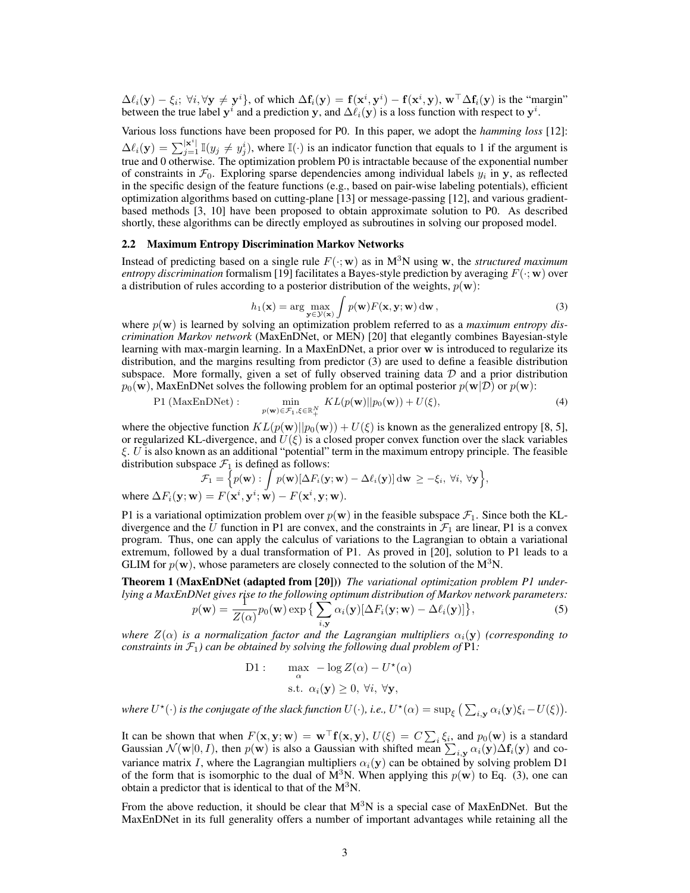$\Delta \ell_i(y) - \xi_i$ ;  $\forall i, \forall y \neq y^i$ , of which  $\Delta f_i(y) = f(x^i, y^i) - f(x^i, y)$ ,  $w^{\top} \Delta f_i(y)$  is the "margin" between the true label  $y^i$  and a prediction y, and  $\Delta \ell_i(y)$  is a loss function with respect to  $y^i$ .

Various loss functions have been proposed for P0. In this paper, we adopt the *hamming loss* [12]:  $\Delta \ell_i(\mathbf{y}) = \sum_{j=1}^{|\mathbf{x}^i|} \mathbb{I}(y_j \neq y_j^i)$ , where  $\mathbb{I}(\cdot)$  is an indicator function that equals to 1 if the argument is true and 0 otherwise. The optimization problem P0 is intractable because of the exponential number of constraints in  $\mathcal{F}_0$ . Exploring sparse dependencies among individual labels  $y_i$  in y, as reflected in the specific design of the feature functions (e.g., based on pair-wise labeling potentials), efficient optimization algorithms based on cutting-plane [13] or message-passing [12], and various gradientbased methods [3, 10] have been proposed to obtain approximate solution to P0. As described shortly, these algorithms can be directly employed as subroutines in solving our proposed model.

## 2.2 Maximum Entropy Discrimination Markov Networks

Instead of predicting based on a single rule  $F(\cdot; \mathbf{w})$  as in M<sup>3</sup>N using w, the *structured maximum entropy discrimination* formalism [19] facilitates a Bayes-style prediction by averaging  $F(\cdot; \mathbf{w})$  over a distribution of rules according to a posterior distribution of the weights,  $p(\mathbf{w})$ :

$$
h_1(\mathbf{x}) = \arg\max_{\mathbf{y} \in \mathcal{Y}(\mathbf{x})} \int p(\mathbf{w}) F(\mathbf{x}, \mathbf{y}; \mathbf{w}) \, \mathrm{d}\mathbf{w}, \tag{3}
$$

where  $p(\mathbf{w})$  is learned by solving an optimization problem referred to as a *maximum entropy discrimination Markov network* (MaxEnDNet, or MEN) [20] that elegantly combines Bayesian-style learning with max-margin learning. In a MaxEnDNet, a prior over w is introduced to regularize its distribution, and the margins resulting from predictor (3) are used to define a feasible distribution subspace. More formally, given a set of fully observed training data  $D$  and a prior distribution  $p_0(\mathbf{w})$ , MaxEnDNet solves the following problem for an optimal posterior  $p(\mathbf{w}|\mathcal{D})$  or  $p(\mathbf{w})$ :

$$
\text{P1 (MaxEnDNet)}: \qquad \min_{p(\mathbf{w}) \in \mathcal{F}_1, \xi \in \mathbb{R}_+^N} KL(p(\mathbf{w}) || p_0(\mathbf{w})) + U(\xi), \tag{4}
$$

where the objective function  $KL(p(\mathbf{w})||p_0(\mathbf{w})) + U(\xi)$  is known as the generalized entropy [8, 5], or regularized KL-divergence, and  $U(\xi)$  is a closed proper convex function over the slack variables  $\xi$ . U is also known as an additional "potential" term in the maximum entropy principle. The feasible

distribution subspace 
$$
\mathcal{F}_1
$$
 is defined as follows:  
\n
$$
\mathcal{F}_1 = \left\{ p(\mathbf{w}) : \int p(\mathbf{w}) [\Delta F_i(\mathbf{y}; \mathbf{w}) - \Delta \ell_i(\mathbf{y})] d\mathbf{w} \ge -\xi_i, \forall i, \forall \mathbf{y} \right\},
$$
\nwhere  $\Delta F_i(\mathbf{y}; \mathbf{w}) = F(\mathbf{x}^i, \mathbf{y}^i; \mathbf{w}) - F(\mathbf{x}^i, \mathbf{y}; \mathbf{w}).$ 

P1 is a variational optimization problem over  $p(w)$  in the feasible subspace  $\mathcal{F}_1$ . Since both the KLdivergence and the U function in P1 are convex, and the constraints in  $\mathcal{F}_1$  are linear, P1 is a convex program. Thus, one can apply the calculus of variations to the Lagrangian to obtain a variational extremum, followed by a dual transformation of P1. As proved in [20], solution to P1 leads to a GLIM for  $p(\mathbf{w})$ , whose parameters are closely connected to the solution of the M<sup>3</sup>N.

Theorem 1 (MaxEnDNet (adapted from [20])) *The variational optimization problem P1 underlying a MaxEnDNet gives rise to the following optimum distribution of Markov network parameters:*<br>  $p(\mathbf{w}) = \frac{1}{Z(\mathbf{w})} p_0(\mathbf{w}) \exp \left\{ \sum \alpha_i(\mathbf{y}) [\Delta F_i(\mathbf{y}; \mathbf{w}) - \Delta \ell_i(\mathbf{y})] \right\},$  (5)

$$
p(\mathbf{w}) = \frac{1}{Z(\alpha)} p_0(\mathbf{w}) \exp \left\{ \sum_{i, \mathbf{y}} \alpha_i(\mathbf{y}) [\Delta F_i(\mathbf{y}; \mathbf{w}) - \Delta \ell_i(\mathbf{y})] \right\},\tag{5}
$$

*where*  $Z(\alpha)$  *is a normalization factor and the Lagrangian multipliers*  $\alpha_i(\mathbf{y})$  *(corresponding to constraints in*  $\mathcal{F}_1$ *) can be obtained by solving the following dual problem of* P1*:* 

D1: 
$$
\max_{\alpha} -\log Z(\alpha) - U^*(\alpha)
$$
  
s.t.  $\alpha_i(\mathbf{y}) \ge 0, \forall i, \forall \mathbf{y},$ 

where  $U^{\star}(\cdot)$  is the conjugate of the slack function  $U(\cdot)$ , i.e.,  $U^{\star}(\alpha) = \sup_{\xi} \big( \sum_{i,y} \alpha_i(y) \xi_i - U(\xi) \big)$ .

It can be shown that when  $F(\mathbf{x}, \mathbf{y}; \mathbf{w}) = \mathbf{w}^{\top} \mathbf{f}(\mathbf{x}, \mathbf{y}), U(\xi) = C \sum_i \xi_i$ , and  $p_0(\mathbf{w})$  is a standard Gaussian  $\mathcal{N}(w|0, I)$ , then  $p(w)$  is also a Gaussian with shifted mean  $\sum_{i,y} \alpha_i(y) \Delta f_i(y)$  and covariance matrix I, where the Lagrangian multipliers  $\alpha_i(y)$  can be obtained by solving problem D1 of the form that is isomorphic to the dual of  $\mathbf{M}^3$ N. When applying this  $p(\mathbf{w})$  to Eq. (3), one can obtain a predictor that is identical to that of the  $M<sup>3</sup>N$ .

From the above reduction, it should be clear that  $M<sup>3</sup>N$  is a special case of MaxEnDNet. But the MaxEnDNet in its full generality offers a number of important advantages while retaining all the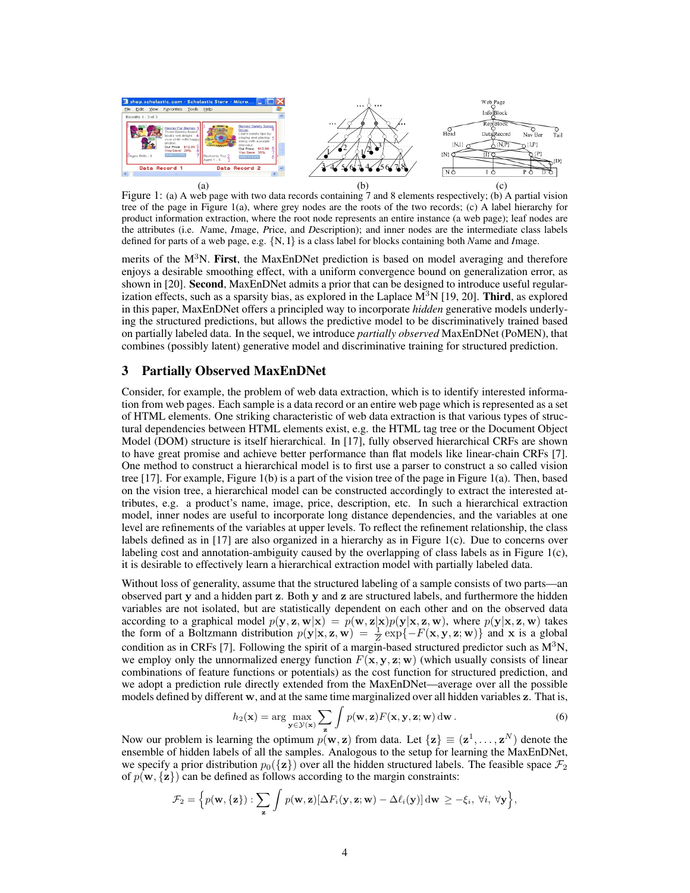

Figure 1: (a) A web page with two data records containing 7 and 8 elements respectively; (b) A partial vision tree of the page in Figure 1(a), where grey nodes are the roots of the two records; (c) A label hierarchy for product information extraction, where the root node represents an entire instance (a web page); leaf nodes are the attributes (i.e. *N*ame, *I*mage, *P*rice, and *D*escription); and inner nodes are the intermediate class labels defined for parts of a web page, e.g. {N, I} is a class label for blocks containing both *N*ame and *I*mage.

merits of the  $M<sup>3</sup>N$ . First, the MaxEnDNet prediction is based on model averaging and therefore enjoys a desirable smoothing effect, with a uniform convergence bound on generalization error, as shown in [20]. Second, MaxEnDNet admits a prior that can be designed to introduce useful regularization effects, such as a sparsity bias, as explored in the Laplace  $\mathbf{M}^3$ N [19, 20]. Third, as explored in this paper, MaxEnDNet offers a principled way to incorporate *hidden* generative models underlying the structured predictions, but allows the predictive model to be discriminatively trained based on partially labeled data. In the sequel, we introduce *partially observed* MaxEnDNet (PoMEN), that combines (possibly latent) generative model and discriminative training for structured prediction.

## 3 Partially Observed MaxEnDNet

Consider, for example, the problem of web data extraction, which is to identify interested information from web pages. Each sample is a data record or an entire web page which is represented as a set of HTML elements. One striking characteristic of web data extraction is that various types of structural dependencies between HTML elements exist, e.g. the HTML tag tree or the Document Object Model (DOM) structure is itself hierarchical. In [17], fully observed hierarchical CRFs are shown to have great promise and achieve better performance than flat models like linear-chain CRFs [7]. One method to construct a hierarchical model is to first use a parser to construct a so called vision tree [17]. For example, Figure 1(b) is a part of the vision tree of the page in Figure 1(a). Then, based on the vision tree, a hierarchical model can be constructed accordingly to extract the interested attributes, e.g. a product's name, image, price, description, etc. In such a hierarchical extraction model, inner nodes are useful to incorporate long distance dependencies, and the variables at one level are refinements of the variables at upper levels. To reflect the refinement relationship, the class labels defined as in [17] are also organized in a hierarchy as in Figure 1(c). Due to concerns over labeling cost and annotation-ambiguity caused by the overlapping of class labels as in Figure 1(c), it is desirable to effectively learn a hierarchical extraction model with partially labeled data.

Without loss of generality, assume that the structured labeling of a sample consists of two parts—an observed part y and a hidden part z. Both y and z are structured labels, and furthermore the hidden variables are not isolated, but are statistically dependent on each other and on the observed data according to a graphical model  $p(y, z, w|x) = p(w, z|x)p(y|x, z, w)$ , where  $p(y|x, z, w)$  takes the form of a Boltzmann distribution  $p(\mathbf{y}|\mathbf{x}, \mathbf{z}, \mathbf{w}) = \frac{1}{Z} \exp\{-F(\mathbf{x}, \mathbf{y}, \mathbf{z}; \mathbf{w})\}$  and x is a global condition as in CRFs [7]. Following the spirit of a margin-based structured predictor such as  $M<sup>3</sup>N$ , we employ only the unnormalized energy function  $F(\mathbf{x}, \mathbf{y}, \mathbf{z}; \mathbf{w})$  (which usually consists of linear combinations of feature functions or potentials) as the cost function for structured prediction, and we adopt a prediction rule directly extended from the MaxEnDNet—average over all the possible models defined by different w, and at the same time marginalized over all hidden variables z. That is,

$$
h_2(\mathbf{x}) = \arg\max_{\mathbf{y} \in \mathcal{Y}(\mathbf{x})} \sum_{\mathbf{z}} \int p(\mathbf{w}, \mathbf{z}) F(\mathbf{x}, \mathbf{y}, \mathbf{z}; \mathbf{w}) \, d\mathbf{w} \,.
$$
 (6)

Now our problem is learning the optimum  $p(\mathbf{w}, \mathbf{z})$  from data. Let  $\{\mathbf{z}\} \equiv (\mathbf{z}^1, \dots, \mathbf{z}^N)$  denote the ensemble of hidden labels of all the samples. Analogous to the setup for learning the MaxEnDNet, we specify a prior distribution  $p_0({\bf{z}})$  over all the hidden structured labels. The feasible space  $\mathcal{F}_2$ of  $p(\mathbf{w}, {\mathbf{z}})$  can be defined as follows according to the margin constraints:

$$
\mathcal{F}_2 = \left\{ p(\mathbf{w}, \{\mathbf{z}\}) : \sum_{\mathbf{z}} \int p(\mathbf{w}, \mathbf{z}) [\Delta F_i(\mathbf{y}, \mathbf{z}; \mathbf{w}) - \Delta \ell_i(\mathbf{y})] d\mathbf{w} \geq -\xi_i, \ \forall i, \ \forall \mathbf{y} \right\},
$$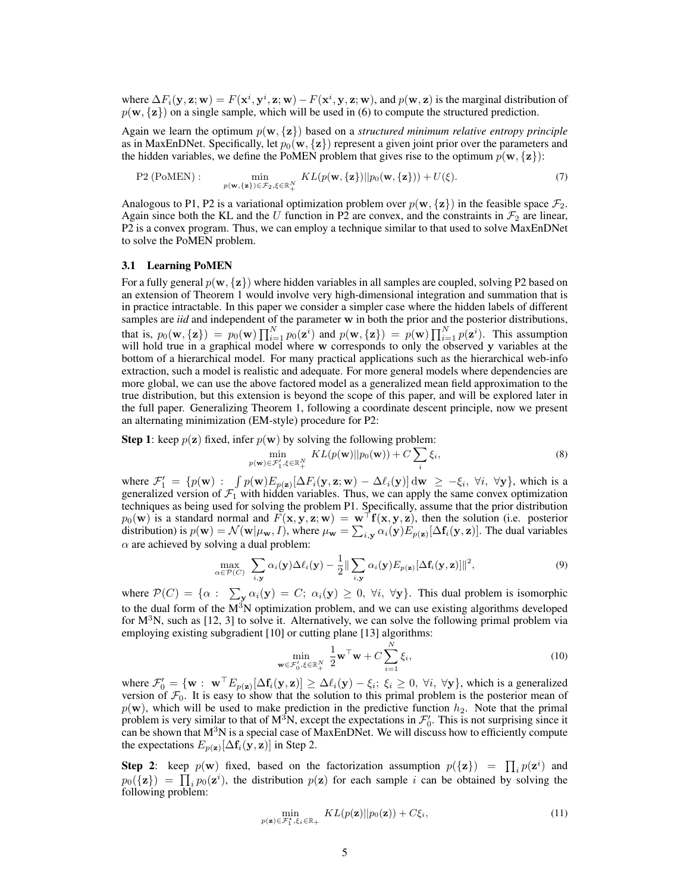where  $\Delta F_i(y, z; w) = F(x^i, y^i, z; w) - F(x^i, y, z; w)$ , and  $p(w, z)$  is the marginal distribution of  $p(\mathbf{w}, {\mathbf{z}})$  on a single sample, which will be used in (6) to compute the structured prediction.

Again we learn the optimum  $p(\mathbf{w}, \{z\})$  based on a *structured minimum relative entropy principle* as in MaxEnDNet. Specifically, let  $p_0(\mathbf{w}, {\mathbf{z}})$  represent a given joint prior over the parameters and the hidden variables, we define the PoMEN problem that gives rise to the optimum  $p(\mathbf{w}, {\mathbf{z}})$ :

P2 (PoMEN): 
$$
\min_{p(\mathbf{w}, \{\mathbf{z}\}) \in \mathcal{F}_2, \xi \in \mathbb{R}^N_+} KL(p(\mathbf{w}, \{\mathbf{z}\}) || p_0(\mathbf{w}, \{\mathbf{z}\})) + U(\xi).
$$
 (7)

Analogous to P1, P2 is a variational optimization problem over  $p(\mathbf{w}, {\mathbf{z}})$  in the feasible space  $\mathcal{F}_2$ . Again since both the KL and the U function in P2 are convex, and the constraints in  $\mathcal{F}_2$  are linear, P2 is a convex program. Thus, we can employ a technique similar to that used to solve MaxEnDNet to solve the PoMEN problem.

## 3.1 Learning PoMEN

For a fully general  $p(\mathbf{w}, \{z\})$  where hidden variables in all samples are coupled, solving P2 based on an extension of Theorem 1 would involve very high-dimensional integration and summation that is in practice intractable. In this paper we consider a simpler case where the hidden labels of different samples are *iid* and independent of the parameter w in both the prior and the posterior distributions, that is,  $p_0(\mathbf{w}, {\mathbf{z}}) = p_0(\mathbf{w}) \prod_{i=1}^N p_0(\mathbf{z}^i)$  and  $p(\mathbf{w}, {\mathbf{z}}) = p(\mathbf{w}) \prod_{i=1}^N p(\mathbf{z}^i)$ . This assumption will hold true in a graphical model where w corresponds to only the observed y variables at the bottom of a hierarchical model. For many practical applications such as the hierarchical web-info extraction, such a model is realistic and adequate. For more general models where dependencies are more global, we can use the above factored model as a generalized mean field approximation to the true distribution, but this extension is beyond the scope of this paper, and will be explored later in the full paper. Generalizing Theorem 1, following a coordinate descent principle, now we present an alternating minimization (EM-style) procedure for P2:

**Step 1:** keep  $p(\mathbf{z})$  fixed, infer  $p(\mathbf{w})$  by solving the following problem:

$$
\min_{p(\mathbf{w}) \in \mathcal{F}'_1, \xi \in \mathbb{R}^N_+} KL(p(\mathbf{w}) || p_0(\mathbf{w})) + C \sum_i \xi_i,
$$
\n(8)

where  $\mathcal{F}'_1 = \{p(\mathbf{w}) : \int p(\mathbf{w}) E_{p(\mathbf{z})}[\Delta F_i(\mathbf{y}, \mathbf{z}; \mathbf{w}) - \Delta \ell_i(\mathbf{y})] d\mathbf{w} \geq -\xi_i, \forall i, \forall \mathbf{y}\},\$  which is a generalized version of  $\mathcal{F}_1$  with hidden variables. Thus, we can apply the same convex optimization techniques as being used for solving the problem P1. Specifically, assume that the prior distribution  $p_0(\mathbf{w})$  is a standard normal and  $F(\mathbf{x}, \mathbf{y}, \mathbf{z}; \mathbf{w}) = \mathbf{w}^{\top} \mathbf{f}(\mathbf{x}, \mathbf{y}, \mathbf{z})$ , then the solution (i.e. posterior distribution) is  $p(\mathbf{w}) = \mathcal{N}(\mathbf{w}|\mu_{\mathbf{w}}, I)$ , where  $\mu_{\mathbf{w}} = \sum_{i, \mathbf{y}} \alpha_i(\mathbf{y}) E_{p(\mathbf{z})} [\Delta f_i(\mathbf{y}, \mathbf{z})]$ . The dual variables  $\alpha$  are achieved by solving a dual problem:

$$
\max_{\alpha \in \mathcal{P}(C)} \sum_{i, \mathbf{y}} \alpha_i(\mathbf{y}) \Delta \ell_i(\mathbf{y}) - \frac{1}{2} \|\sum_{i, \mathbf{y}} \alpha_i(\mathbf{y}) E_{p(\mathbf{z})} [\Delta \mathbf{f}_i(\mathbf{y}, \mathbf{z})] \|^2, \tag{9}
$$

where  $\mathcal{P}(C) = \{ \alpha : \sum_{\mathbf{y}} \alpha_i(\mathbf{y}) = C; \alpha_i(\mathbf{y}) \geq 0, \forall i, \forall \mathbf{y} \}.$  This dual problem is isomorphic to the dual form of the  $M<sup>3</sup>N$  optimization problem, and we can use existing algorithms developed for  $M<sup>3</sup>N$ , such as [12, 3] to solve it. Alternatively, we can solve the following primal problem via employing existing subgradient [10] or cutting plane [13] algorithms:

$$
\min_{\mathbf{w}\in\mathcal{F}'_0,\xi\in\mathbb{R}_+^N} \frac{1}{2}\mathbf{w}^\top \mathbf{w} + C \sum_{i=1}^N \xi_i,
$$
\n(10)

where  $\mathcal{F}'_0 = \{ \mathbf{w} : \ \mathbf{w}^\top E_{p(\mathbf{z})} [\Delta f_i(\mathbf{y}, \mathbf{z})] \geq \Delta \ell_i(\mathbf{y}) - \xi_i; \ \xi_i \geq 0, \ \forall i, \ \forall \mathbf{y} \},\$  which is a generalized version of  $\mathcal{F}_0$ . It is easy to show that the solution to this primal problem is the posterior mean of  $p(\mathbf{w})$ , which will be used to make prediction in the predictive function  $h_2$ . Note that the primal problem is very similar to that of  $M^3N$ , except the expectations in  $\mathcal{F}'_0$ . This is not surprising since it can be shown that  $M<sup>3</sup>N$  is a special case of MaxEnDNet. We will discuss how to efficiently compute the expectations  $E_{p(\mathbf{z})}[\Delta \mathbf{f}_i(\mathbf{y}, \mathbf{z})]$  in Step 2.

**Step 2**: keep  $p(\mathbf{w})$  fixed, based on the factorization assumption  $p(\{\mathbf{z}\}) = \prod_i p(\mathbf{z}^i)$  and  $p_0({\bf z}) = \prod_i p_0({\bf z}^i)$ , the distribution  $p({\bf z})$  for each sample i can be obtained by solving the following problem:

$$
\min_{p(\mathbf{z}) \in \mathcal{F}_1^{\star}, \xi_i \in \mathbb{R}_+} KL(p(\mathbf{z}) || p_0(\mathbf{z})) + C\xi_i,
$$
\n(11)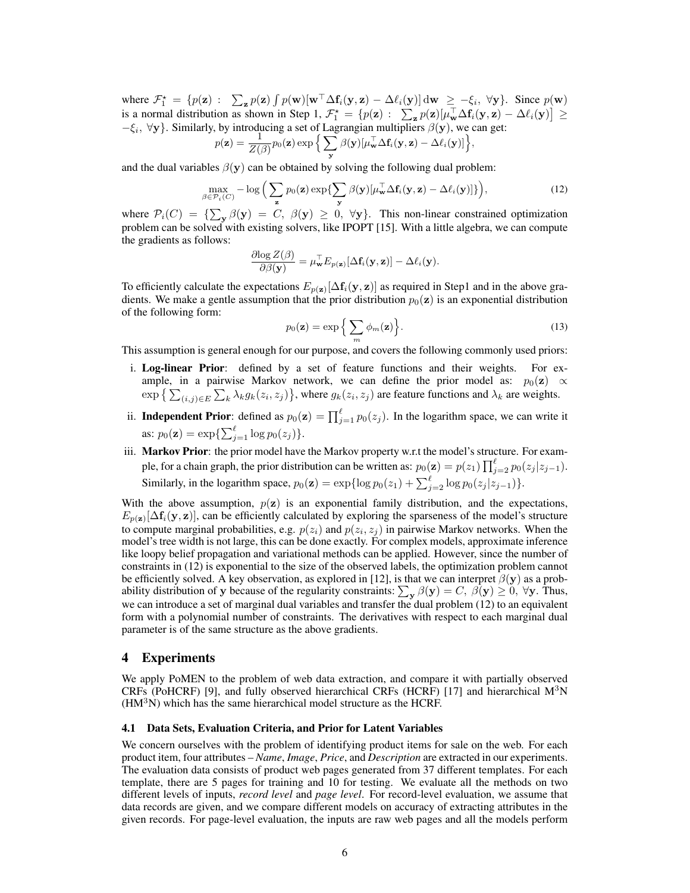where  $\mathcal{F}_1^* = \{p(\mathbf{z}) : \sum_{\mathbf{z}} p(\mathbf{z}) \int p(\mathbf{w}) [\mathbf{w}^\top \Delta f_i(\mathbf{y}, \mathbf{z}) - \Delta \ell_i(\mathbf{y})] d\mathbf{w} \geq -\xi_i, \forall \mathbf{y}\}.$  Since  $p(\mathbf{w})$ is a normal distribution as shown in Step 1,  $\mathcal{F}_1^* = \{p(\mathbf{z}) : \sum_{\mathbf{z}} p(\mathbf{z})[\mu_{\mathbf{w}}^{\top} \Delta f_i(\mathbf{y}, \mathbf{z}) - \Delta \ell_i(\mathbf{y})] \geq$  $-\xi_i$ ,  $\forall y$ . Similarly, by introducing a set of Lagrangian multipliers  $\beta(y)$ , we can get:

$$
p(\mathbf{z}) = \frac{1}{Z(\beta)} p_0(\mathbf{z}) \exp \Big\{ \sum_{\mathbf{y}} \beta(\mathbf{y}) [\mu_{\mathbf{w}}^{\top} \Delta \mathbf{f}_i(\mathbf{y}, \mathbf{z}) - \Delta \ell_i(\mathbf{y})] \Big\},
$$

and the dual variables  $\beta(y)$  can be obtained by solving the following dual problem:

$$
\max_{\beta \in \mathcal{P}_i(C)} -\log \Big( \sum_{\mathbf{z}} p_0(\mathbf{z}) \exp\{\sum_{\mathbf{y}} \beta(\mathbf{y}) [\mu_{\mathbf{w}}^{\top} \Delta \mathbf{f}_i(\mathbf{y}, \mathbf{z}) - \Delta \ell_i(\mathbf{y})] \} \Big), \tag{12}
$$

where  $\mathcal{P}_i(C) = {\sum_{\mathbf{y}} \beta(\mathbf{y}) = C, \beta(\mathbf{y}) \geq 0, \forall \mathbf{y}}.$  This non-linear constrained optimization problem can be solved with existing solvers, like IPOPT [15]. With a little algebra, we can compute the gradients as follows:

$$
\frac{\partial \log Z(\beta)}{\partial \beta(\mathbf{y})} = \mu_{\mathbf{w}}^{\top} E_{p(\mathbf{z})} [\Delta \mathbf{f}_i(\mathbf{y}, \mathbf{z})] - \Delta \ell_i(\mathbf{y}).
$$

To efficiently calculate the expectations  $E_{p(\mathbf{z})}[\Delta f_i(\mathbf{y}, \mathbf{z})]$  as required in Step1 and in the above gradients. We make a gentle assumption that the prior distribution  $p_0(z)$  is an exponential distribution of the following form:

$$
p_0(\mathbf{z}) = \exp\left\{\sum_m \phi_m(\mathbf{z})\right\}.
$$
 (13)

This assumption is general enough for our purpose, and covers the following commonly used priors:

- i. Log-linear Prior: defined by a set of feature functions and their weights. For example, in a pairwise Markov network, we can define the prior model as:  $p_0(z) \propto$  $\exp\left\{\sum_{(i,j)\in E}\sum_{k}\lambda_k g_k(z_i,z_j)\right\}$ , where  $g_k(z_i,z_j)$  are feature functions and  $\lambda_k$  are weights.
- ii. Independent Prior: defined as  $p_0(\mathbf{z}) = \prod_{j=1}^{\ell} p_0(z_j)$ . In the logarithm space, we can write it as:  $p_0(\mathbf{z}) = \exp{\{\sum_{j=1}^{\ell} \log p_0(z_j)\}}.$
- iii. Markov Prior: the prior model have the Markov property w.r.t the model's structure. For example, for a chain graph, the prior distribution can be written as:  $p_0(\mathbf{z}) = p(z_1) \prod_{j=2}^{\ell} p_0(z_j | z_{j-1}).$ Similarly, in the logarithm space,  $p_0(\mathbf{z}) = \exp{\log p_0(z_1) + \sum_{j=2}^{\ell} \log p_0(z_j|z_{j-1})}$ .

With the above assumption,  $p(z)$  is an exponential family distribution, and the expectations,  $E_{p(\mathbf{z})}[\Delta f_i(\mathbf{y}, \mathbf{z})]$ , can be efficiently calculated by exploring the sparseness of the model's structure to compute marginal probabilities, e.g.  $p(z_i)$  and  $p(z_i, z_j)$  in pairwise Markov networks. When the model's tree width is not large, this can be done exactly. For complex models, approximate inference like loopy belief propagation and variational methods can be applied. However, since the number of constraints in (12) is exponential to the size of the observed labels, the optimization problem cannot be efficiently solved. A key observation, as explored in [12], is that we can interpret  $\beta(y)$  as a probability distribution of y because of the regularity constraints:  $\sum_{y} \beta(y) = C$ ,  $\beta(y) \ge 0$ ,  $\forall y$ . Thus, we can introduce a set of marginal dual variables and transfer the dual problem (12) to an equivalent form with a polynomial number of constraints. The derivatives with respect to each marginal dual parameter is of the same structure as the above gradients.

# 4 Experiments

We apply PoMEN to the problem of web data extraction, and compare it with partially observed CRFs (PoHCRF) [9], and fully observed hierarchical CRFs (HCRF) [17] and hierarchical  $M^{3}N$  $(HM<sup>3</sup>N)$  which has the same hierarchical model structure as the HCRF.

### 4.1 Data Sets, Evaluation Criteria, and Prior for Latent Variables

We concern ourselves with the problem of identifying product items for sale on the web. For each product item, four attributes – *Name*, *Image*, *Price*, and *Description* are extracted in our experiments. The evaluation data consists of product web pages generated from 37 different templates. For each template, there are 5 pages for training and 10 for testing. We evaluate all the methods on two different levels of inputs, *record level* and *page level*. For record-level evaluation, we assume that data records are given, and we compare different models on accuracy of extracting attributes in the given records. For page-level evaluation, the inputs are raw web pages and all the models perform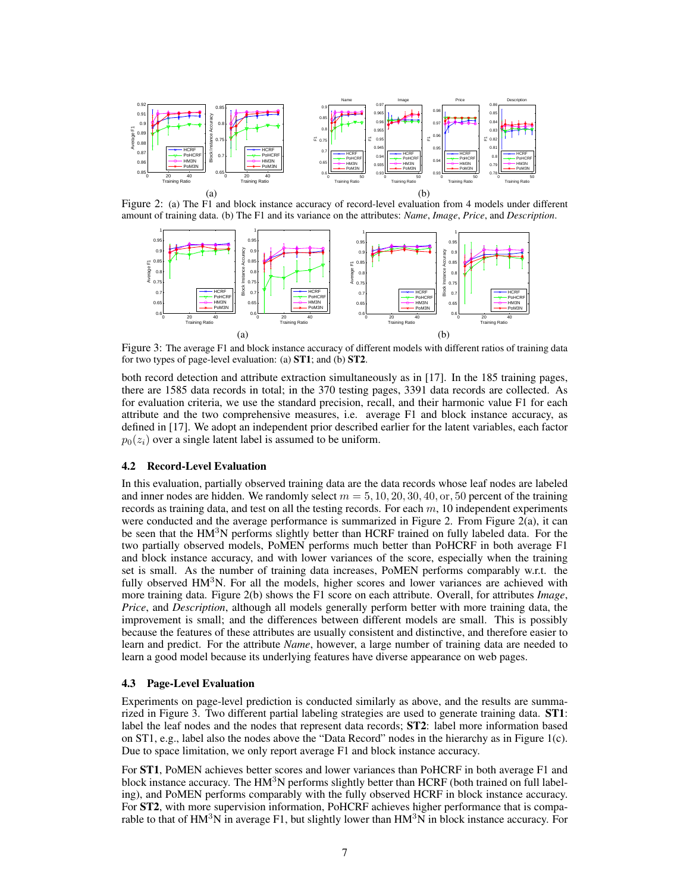

Figure 2: (a) The F1 and block instance accuracy of record-level evaluation from 4 models under different amount of training data. (b) The F1 and its variance on the attributes: *Name*, *Image*, *Price*, and *Description*.



Figure 3: The average F1 and block instance accuracy of different models with different ratios of training data for two types of page-level evaluation: (a) ST1; and (b) ST2.

both record detection and attribute extraction simultaneously as in [17]. In the 185 training pages, there are 1585 data records in total; in the 370 testing pages, 3391 data records are collected. As for evaluation criteria, we use the standard precision, recall, and their harmonic value F1 for each attribute and the two comprehensive measures, i.e. average F1 and block instance accuracy, as defined in [17]. We adopt an independent prior described earlier for the latent variables, each factor  $p_0(z_i)$  over a single latent label is assumed to be uniform.

## 4.2 Record-Level Evaluation

In this evaluation, partially observed training data are the data records whose leaf nodes are labeled and inner nodes are hidden. We randomly select  $m = 5, 10, 20, 30, 40, or, 50$  percent of the training records as training data, and test on all the testing records. For each  $m$ , 10 independent experiments were conducted and the average performance is summarized in Figure 2. From Figure 2(a), it can be seen that the HM<sup>3</sup>N performs slightly better than HCRF trained on fully labeled data. For the two partially observed models, PoMEN performs much better than PoHCRF in both average F1 and block instance accuracy, and with lower variances of the score, especially when the training set is small. As the number of training data increases, PoMEN performs comparably w.r.t. the fully observed  $HM<sup>3</sup>N$ . For all the models, higher scores and lower variances are achieved with more training data. Figure 2(b) shows the F1 score on each attribute. Overall, for attributes *Image*, *Price*, and *Description*, although all models generally perform better with more training data, the improvement is small; and the differences between different models are small. This is possibly because the features of these attributes are usually consistent and distinctive, and therefore easier to learn and predict. For the attribute *Name*, however, a large number of training data are needed to learn a good model because its underlying features have diverse appearance on web pages.

## 4.3 Page-Level Evaluation

Experiments on page-level prediction is conducted similarly as above, and the results are summarized in Figure 3. Two different partial labeling strategies are used to generate training data. ST1: label the leaf nodes and the nodes that represent data records; ST2: label more information based on ST1, e.g., label also the nodes above the "Data Record" nodes in the hierarchy as in Figure 1(c). Due to space limitation, we only report average F1 and block instance accuracy.

For ST1, PoMEN achieves better scores and lower variances than PoHCRF in both average F1 and block instance accuracy. The  $HM<sup>3</sup>N$  performs slightly better than HCRF (both trained on full labeling), and PoMEN performs comparably with the fully observed HCRF in block instance accuracy. For **ST2**, with more supervision information, PoHCRF achieves higher performance that is comparable to that of  $HM<sup>3</sup>N$  in average F1, but slightly lower than  $HM<sup>3</sup>N$  in block instance accuracy. For